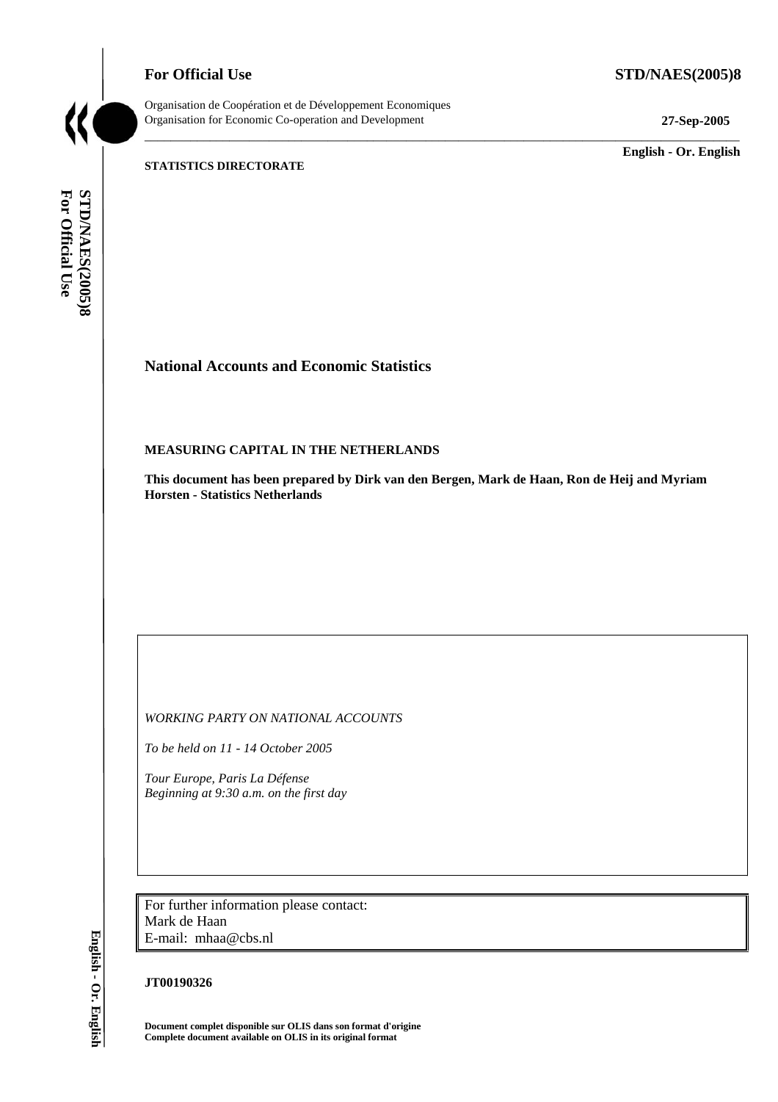**For Official Use STD/NAES(2005)8** 

Organisation de Coopération et de Développement Economiques Organisation for Economic Co-operation and Development **27-Sep-2005** 

\_\_\_\_\_\_\_\_\_\_\_\_\_ **English - Or. English** 

#### **STATISTICS DIRECTORATE**

For Official Use STD/NAES(2005)8 **For Official Use STD/NAES(2005)8 English - Or. English**

# **National Accounts and Economic Statistics**

# **MEASURING CAPITAL IN THE NETHERLANDS**

**This document has been prepared by Dirk van den Bergen, Mark de Haan, Ron de Heij and Myriam Horsten - Statistics Netherlands** 

\_\_\_\_\_\_\_\_\_\_\_\_\_\_\_\_\_\_\_\_\_\_\_\_\_\_\_\_\_\_\_\_\_\_\_\_\_\_\_\_\_\_\_\_\_\_\_\_\_\_\_\_\_\_\_\_\_\_\_\_\_\_\_\_\_\_\_\_\_\_\_\_\_\_\_\_\_\_\_\_\_\_\_\_\_\_\_\_\_\_\_

*WORKING PARTY ON NATIONAL ACCOUNTS* 

*To be held on 11 - 14 October 2005* 

*Tour Europe, Paris La Défense Beginning at 9:30 a.m. on the first day* 

For further information please contact: Mark de Haan E-mail: mhaa@cbs.nl

#### **JT00190326**

**Document complet disponible sur OLIS dans son format d'origine Complete document available on OLIS in its original format**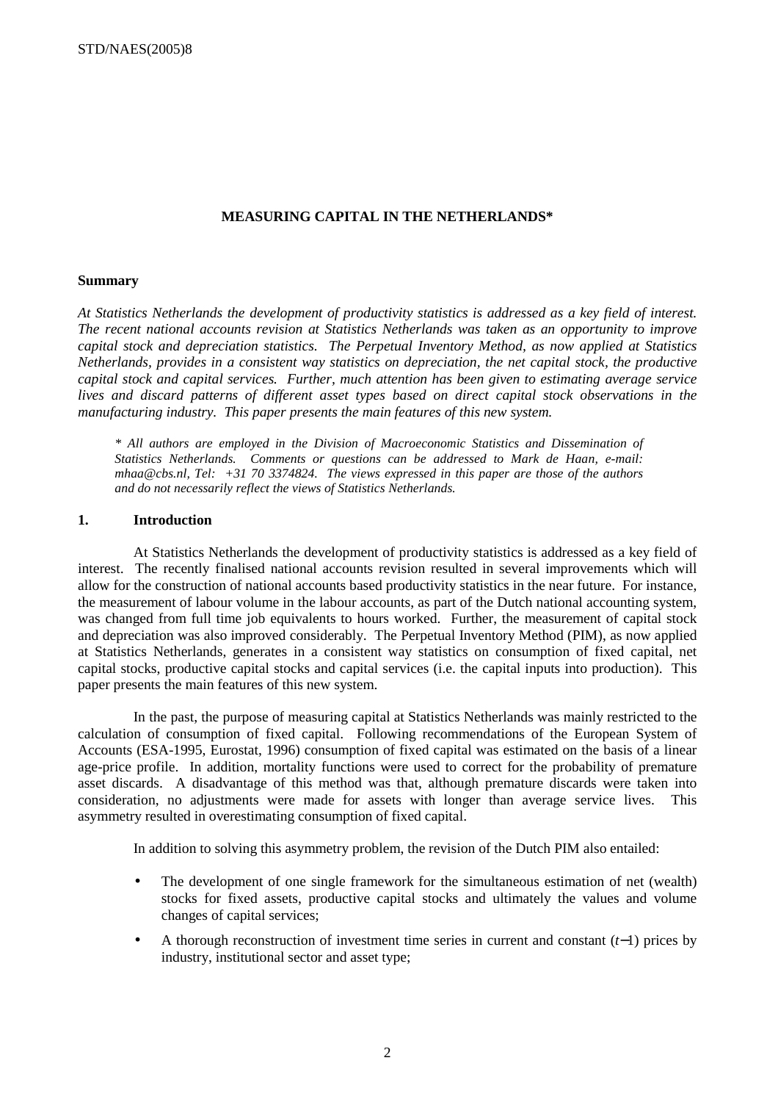#### **MEASURING CAPITAL IN THE NETHERLANDS\***

#### **Summary**

*At Statistics Netherlands the development of productivity statistics is addressed as a key field of interest. The recent national accounts revision at Statistics Netherlands was taken as an opportunity to improve capital stock and depreciation statistics. The Perpetual Inventory Method, as now applied at Statistics Netherlands, provides in a consistent way statistics on depreciation, the net capital stock, the productive capital stock and capital services. Further, much attention has been given to estimating average service lives and discard patterns of different asset types based on direct capital stock observations in the manufacturing industry. This paper presents the main features of this new system.* 

*\* All authors are employed in the Division of Macroeconomic Statistics and Dissemination of Statistics Netherlands. Comments or questions can be addressed to Mark de Haan, e-mail: mhaa@cbs.nl, Tel: +31 70 3374824. The views expressed in this paper are those of the authors and do not necessarily reflect the views of Statistics Netherlands.* 

#### **1. Introduction**

At Statistics Netherlands the development of productivity statistics is addressed as a key field of interest. The recently finalised national accounts revision resulted in several improvements which will allow for the construction of national accounts based productivity statistics in the near future. For instance, the measurement of labour volume in the labour accounts, as part of the Dutch national accounting system, was changed from full time job equivalents to hours worked. Further, the measurement of capital stock and depreciation was also improved considerably. The Perpetual Inventory Method (PIM), as now applied at Statistics Netherlands, generates in a consistent way statistics on consumption of fixed capital, net capital stocks, productive capital stocks and capital services (i.e. the capital inputs into production). This paper presents the main features of this new system.

In the past, the purpose of measuring capital at Statistics Netherlands was mainly restricted to the calculation of consumption of fixed capital. Following recommendations of the European System of Accounts (ESA-1995, Eurostat, 1996) consumption of fixed capital was estimated on the basis of a linear age-price profile. In addition, mortality functions were used to correct for the probability of premature asset discards. A disadvantage of this method was that, although premature discards were taken into consideration, no adjustments were made for assets with longer than average service lives. This asymmetry resulted in overestimating consumption of fixed capital.

In addition to solving this asymmetry problem, the revision of the Dutch PIM also entailed:

- The development of one single framework for the simultaneous estimation of net (wealth) stocks for fixed assets, productive capital stocks and ultimately the values and volume changes of capital services;
- A thorough reconstruction of investment time series in current and constant (*t*−1) prices by industry, institutional sector and asset type;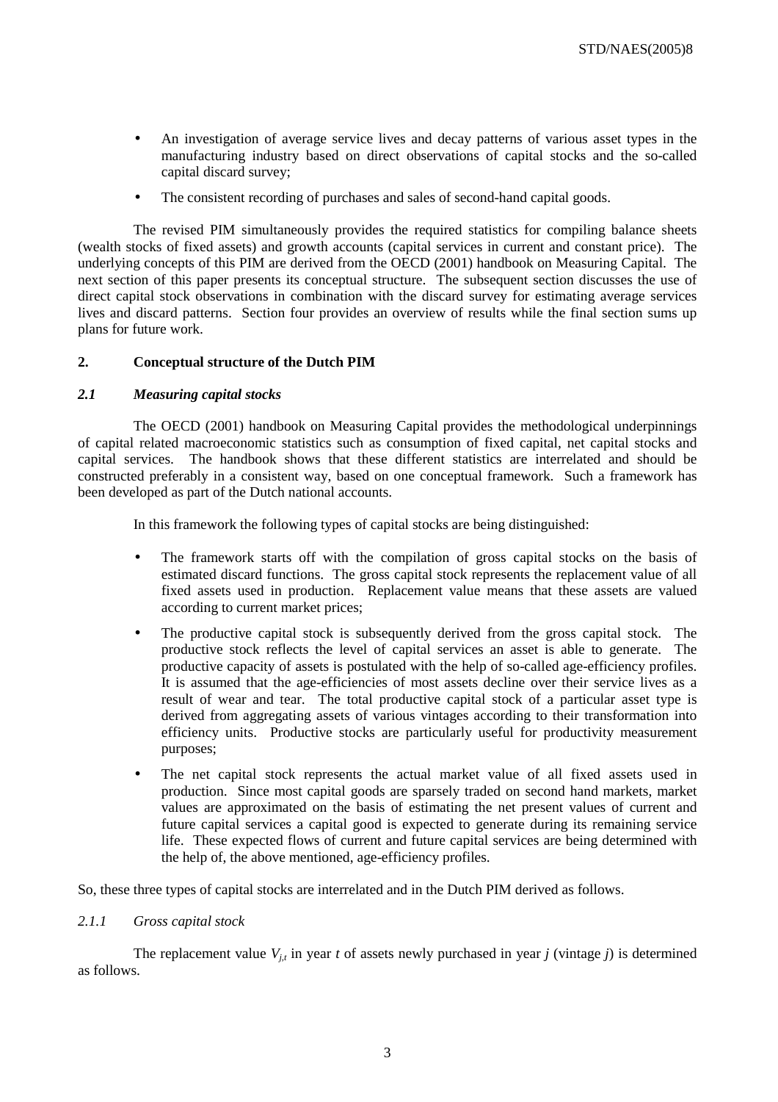- An investigation of average service lives and decay patterns of various asset types in the manufacturing industry based on direct observations of capital stocks and the so-called capital discard survey;
- The consistent recording of purchases and sales of second-hand capital goods.

The revised PIM simultaneously provides the required statistics for compiling balance sheets (wealth stocks of fixed assets) and growth accounts (capital services in current and constant price). The underlying concepts of this PIM are derived from the OECD (2001) handbook on Measuring Capital. The next section of this paper presents its conceptual structure. The subsequent section discusses the use of direct capital stock observations in combination with the discard survey for estimating average services lives and discard patterns. Section four provides an overview of results while the final section sums up plans for future work.

# **2. Conceptual structure of the Dutch PIM**

# *2.1 Measuring capital stocks*

The OECD (2001) handbook on Measuring Capital provides the methodological underpinnings of capital related macroeconomic statistics such as consumption of fixed capital, net capital stocks and capital services. The handbook shows that these different statistics are interrelated and should be constructed preferably in a consistent way, based on one conceptual framework. Such a framework has been developed as part of the Dutch national accounts.

In this framework the following types of capital stocks are being distinguished:

- The framework starts off with the compilation of gross capital stocks on the basis of estimated discard functions. The gross capital stock represents the replacement value of all fixed assets used in production. Replacement value means that these assets are valued according to current market prices;
- The productive capital stock is subsequently derived from the gross capital stock. The productive stock reflects the level of capital services an asset is able to generate. The productive capacity of assets is postulated with the help of so-called age-efficiency profiles. It is assumed that the age-efficiencies of most assets decline over their service lives as a result of wear and tear. The total productive capital stock of a particular asset type is derived from aggregating assets of various vintages according to their transformation into efficiency units. Productive stocks are particularly useful for productivity measurement purposes;
- The net capital stock represents the actual market value of all fixed assets used in production. Since most capital goods are sparsely traded on second hand markets, market values are approximated on the basis of estimating the net present values of current and future capital services a capital good is expected to generate during its remaining service life. These expected flows of current and future capital services are being determined with the help of, the above mentioned, age-efficiency profiles.

So, these three types of capital stocks are interrelated and in the Dutch PIM derived as follows.

# *2.1.1 Gross capital stock*

The replacement value  $V_{i}$  in year *t* of assets newly purchased in year *j* (vintage *j*) is determined as follows.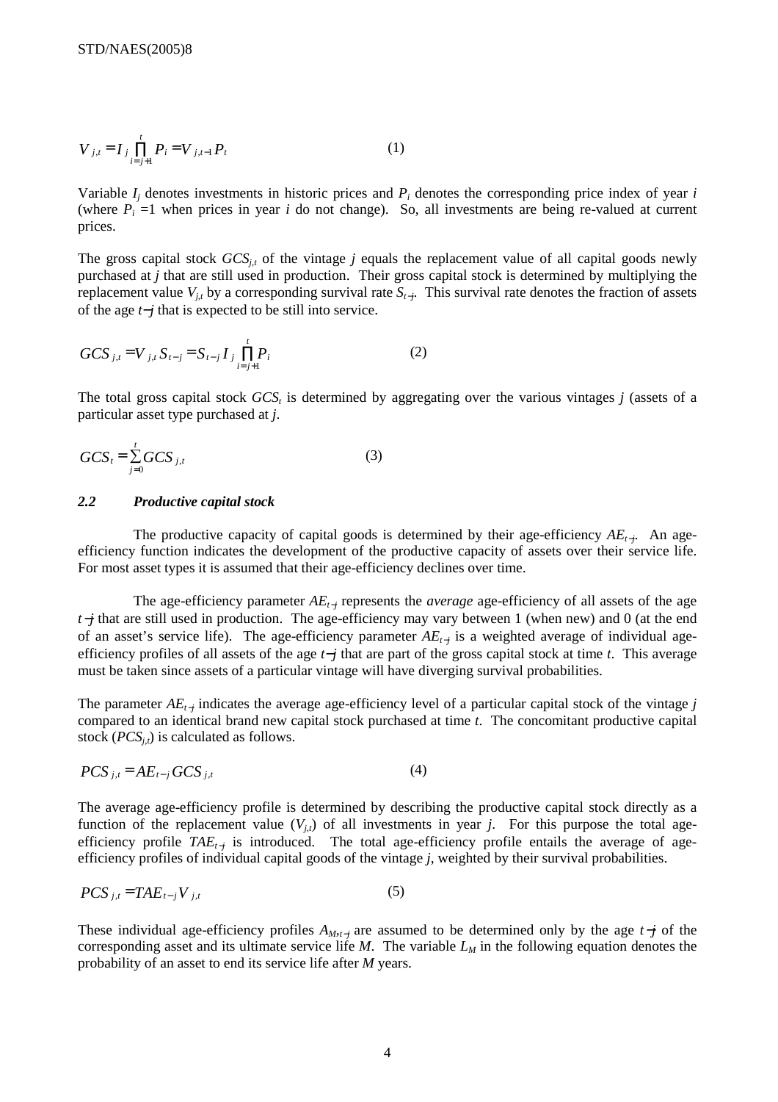$$
V_{j,t} = I_j \prod_{i=j+1}^{t} P_i = V_{j,t-1} P_t
$$
 (1)

Variable *Ij* denotes investments in historic prices and *Pi* denotes the corresponding price index of year *i* (where  $P_i = 1$  when prices in year *i* do not change). So, all investments are being re-valued at current prices.

The gross capital stock  $GCS_{i,t}$  of the vintage *j* equals the replacement value of all capital goods newly purchased at *j* that are still used in production. Their gross capital stock is determined by multiplying the replacement value  $V_{i,t}$  by a corresponding survival rate  $S_{t-i}$ . This survival rate denotes the fraction of assets of the age *t*−*j* that is expected to be still into service.

$$
GCS_{j,t} = V_{j,t} S_{t-j} = S_{t-j} I_j \prod_{i=j+1}^{t} P_i
$$
 (2)

The total gross capital stock  $GCS<sub>t</sub>$  is determined by aggregating over the various vintages *j* (assets of a particular asset type purchased at *j*.

$$
GCS_t = \sum_{j=0}^t GCS_{j,t} \tag{3}
$$

#### *2.2 Productive capital stock*

The productive capacity of capital goods is determined by their age-efficiency *AE*<sub>t−*j*</sub>. An ageefficiency function indicates the development of the productive capacity of assets over their service life. For most asset types it is assumed that their age-efficiency declines over time.

The age-efficiency parameter *AEt*−*<sup>j</sup>* represents the *average* age-efficiency of all assets of the age *t*−*j* that are still used in production. The age-efficiency may vary between 1 (when new) and 0 (at the end of an asset's service life). The age-efficiency parameter *AE*<sub>*t*−*j*</sub> is a weighted average of individual ageefficiency profiles of all assets of the age *t*−*j* that are part of the gross capital stock at time *t*. This average must be taken since assets of a particular vintage will have diverging survival probabilities.

The parameter *AE*<sub>*t*<sup>−*j*</sup> indicates the average age-efficiency level of a particular capital stock of the vintage *j*</sub> compared to an identical brand new capital stock purchased at time *t*. The concomitant productive capital stock  $(PCS_{i,t})$  is calculated as follows.

$$
PCS_{j,t} = AE_{t-j} GCS_{j,t}
$$
 (4)

The average age-efficiency profile is determined by describing the productive capital stock directly as a function of the replacement value  $(V_{i,t})$  of all investments in year *j*. For this purpose the total ageefficiency profile *TAE*<sub>t−j</sub> is introduced. The total age-efficiency profile entails the average of ageefficiency profiles of individual capital goods of the vintage *j*, weighted by their survival probabilities.

$$
PCS_{j,t} = TAE_{t-j}V_{j,t} \tag{5}
$$

These individual age-efficiency profiles *AM,t*−*<sup>j</sup>*are assumed to be determined only by the age *t*−*j* of the corresponding asset and its ultimate service life  $M$ . The variable  $L_M$  in the following equation denotes the probability of an asset to end its service life after *M* years.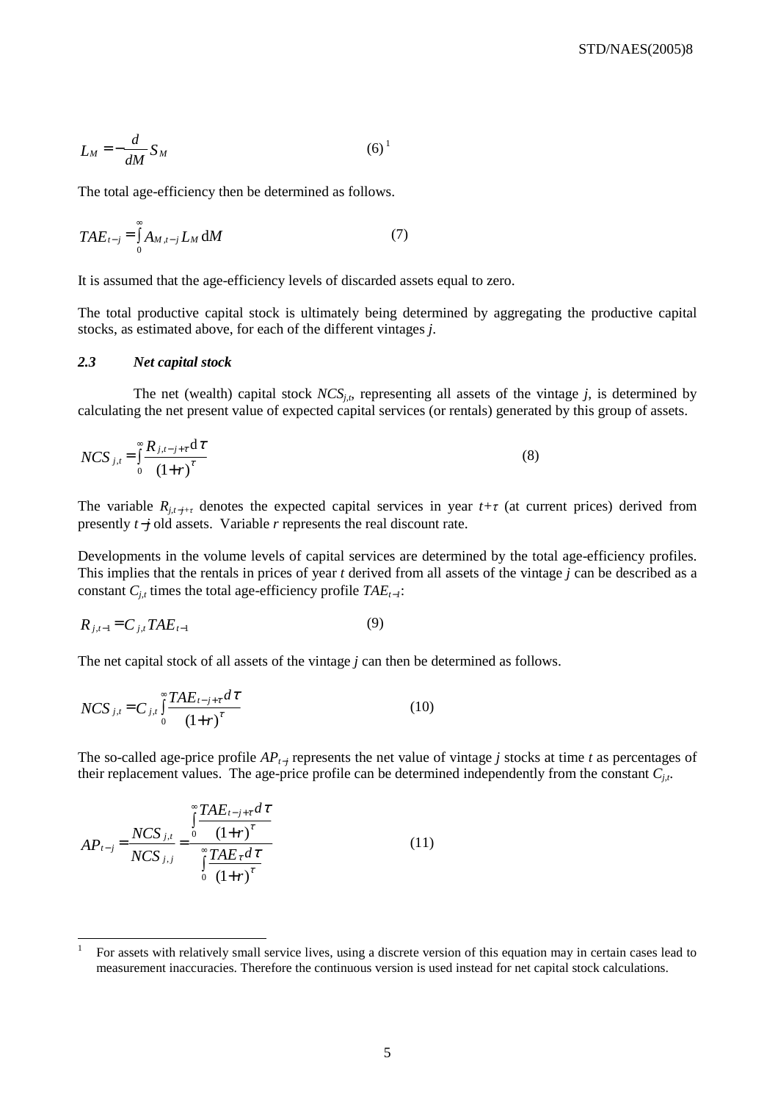$$
L_M = -\frac{d}{dM} S_M \tag{6}^1
$$

The total age-efficiency then be determined as follows.

$$
TAE_{t-j} = \int_{0}^{\infty} A_{M,t-j} L_M \, \mathrm{d}M \tag{7}
$$

It is assumed that the age-efficiency levels of discarded assets equal to zero.

The total productive capital stock is ultimately being determined by aggregating the productive capital stocks, as estimated above, for each of the different vintages *j*.

#### *2.3 Net capital stock*

The net (wealth) capital stock  $NCS_{j,t}$ , representing all assets of the vintage *j*, is determined by calculating the net present value of expected capital services (or rentals) generated by this group of assets.

$$
NCS_{j,t} = \int_{0}^{\infty} \frac{R_{j,t-j+\tau} d\tau}{(1+r)^{\tau}}
$$
(8)

The variable  $R_{j,t-j+\tau}$  denotes the expected capital services in year  $t+\tau$  (at current prices) derived from presently *t*−*j* old assets. Variable *r* represents the real discount rate.

Developments in the volume levels of capital services are determined by the total age-efficiency profiles. This implies that the rentals in prices of year *t* derived from all assets of the vintage *j* can be described as a constant  $C_{j,t}$  times the total age-efficiency profile  $TAE_{t-1}$ :

$$
R_{j,t-1} = C_{j,t} T A E_{t-1}
$$
 (9)

The net capital stock of all assets of the vintage *j* can then be determined as follows.

$$
NCS_{j,t} = C_{j,t} \int_{0}^{\infty} \frac{TAE_{t-j+\tau} d\tau}{(1+r)^{\tau}}
$$
 (10)

The so-called age-price profile *AP*<sub>t−*j*</sub> represents the net value of vintage *j* stocks at time *t* as percentages of their replacement values. The age-price profile can be determined independently from the constant *Cj,t*.

$$
AP_{t-j} = \frac{NCS_{j,t}}{NCS_{j,j}} = \frac{\int_{0}^{\infty} \frac{TAE_{t-j+\tau} d\tau}{(1+r)^{\tau}}}{\int_{0}^{\infty} \frac{TAE_{\tau} d\tau}{(1+r)^{\tau}}}
$$
(11)

<sup>1</sup> For assets with relatively small service lives, using a discrete version of this equation may in certain cases lead to measurement inaccuracies. Therefore the continuous version is used instead for net capital stock calculations.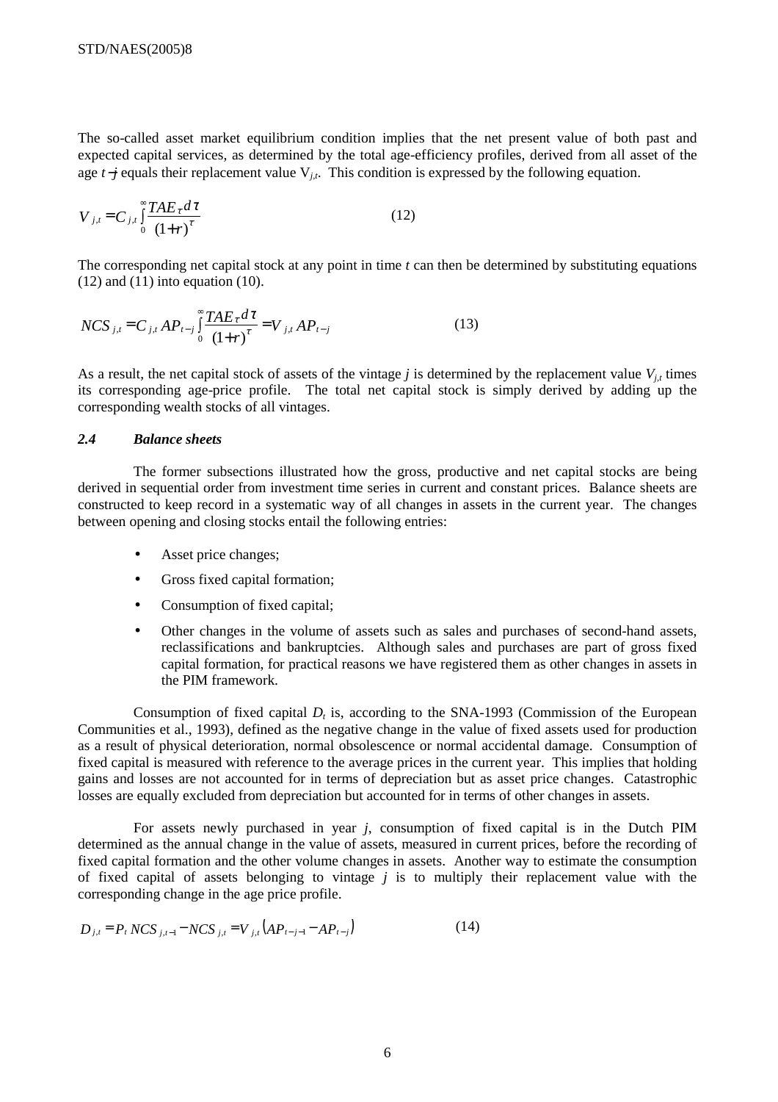The so-called asset market equilibrium condition implies that the net present value of both past and expected capital services, as determined by the total age-efficiency profiles, derived from all asset of the age *t*−*j* equals their replacement value V*j,t*. This condition is expressed by the following equation.

$$
V_{j,t} = C_{j,t} \int_0^\infty \frac{TAE_\tau d\tau}{(1+r)^\tau}
$$
 (12)

The corresponding net capital stock at any point in time *t* can then be determined by substituting equations  $(12)$  and  $(11)$  into equation  $(10)$ .

$$
NCS_{j,t} = C_{j,t} AP_{t-j} \int_{0}^{\infty} \frac{TAE_{\tau} d\tau}{(1+r)^{\tau}} = V_{j,t} AP_{t-j}
$$
(13)

As a result, the net capital stock of assets of the vintage  $j$  is determined by the replacement value  $V_{j,t}$  times its corresponding age-price profile. The total net capital stock is simply derived by adding up the corresponding wealth stocks of all vintages.

# *2.4 Balance sheets*

The former subsections illustrated how the gross, productive and net capital stocks are being derived in sequential order from investment time series in current and constant prices. Balance sheets are constructed to keep record in a systematic way of all changes in assets in the current year. The changes between opening and closing stocks entail the following entries:

- Asset price changes;
- Gross fixed capital formation;
- Consumption of fixed capital;
- Other changes in the volume of assets such as sales and purchases of second-hand assets, reclassifications and bankruptcies. Although sales and purchases are part of gross fixed capital formation, for practical reasons we have registered them as other changes in assets in the PIM framework.

Consumption of fixed capital *D<sub>t</sub>* is, according to the SNA-1993 (Commission of the European Communities et al., 1993), defined as the negative change in the value of fixed assets used for production as a result of physical deterioration, normal obsolescence or normal accidental damage. Consumption of fixed capital is measured with reference to the average prices in the current year. This implies that holding gains and losses are not accounted for in terms of depreciation but as asset price changes. Catastrophic losses are equally excluded from depreciation but accounted for in terms of other changes in assets.

For assets newly purchased in year *j*, consumption of fixed capital is in the Dutch PIM determined as the annual change in the value of assets, measured in current prices, before the recording of fixed capital formation and the other volume changes in assets. Another way to estimate the consumption of fixed capital of assets belonging to vintage *j* is to multiply their replacement value with the corresponding change in the age price profile.

$$
D_{j,t} = P_t NCS_{j,t-1} - NCS_{j,t} = V_{j,t} \left( AP_{t-j-1} - AP_{t-j} \right) \tag{14}
$$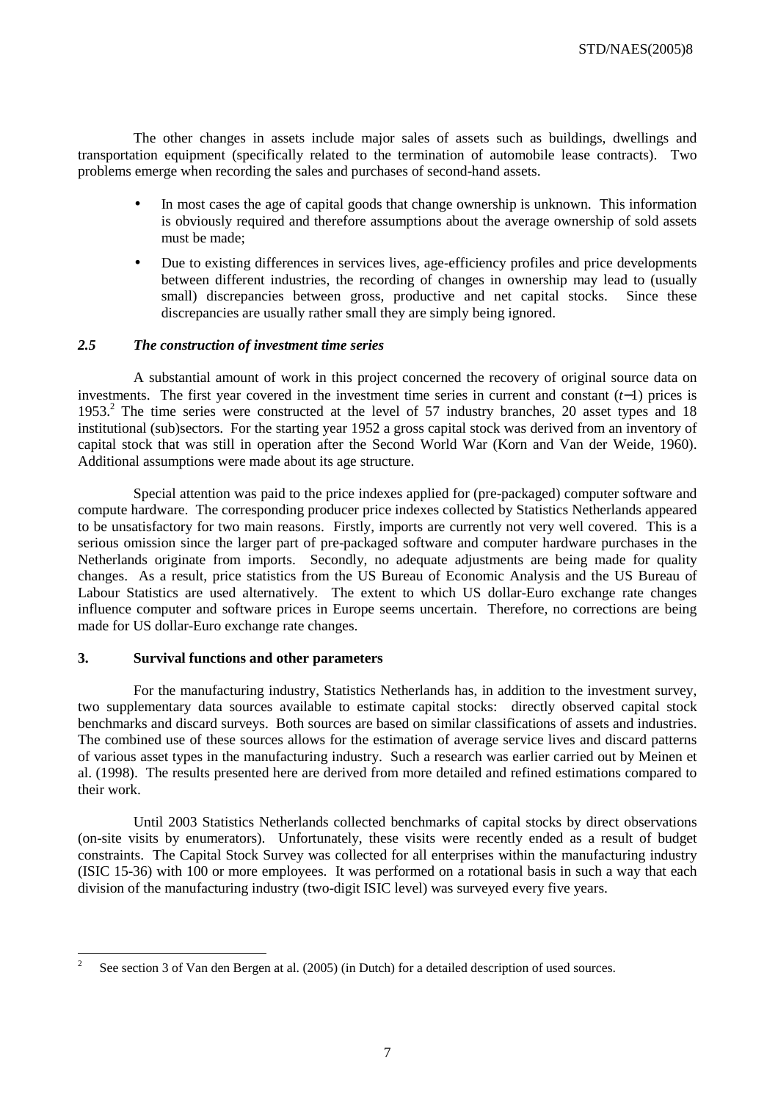The other changes in assets include major sales of assets such as buildings, dwellings and transportation equipment (specifically related to the termination of automobile lease contracts). Two problems emerge when recording the sales and purchases of second-hand assets.

- In most cases the age of capital goods that change ownership is unknown. This information is obviously required and therefore assumptions about the average ownership of sold assets must be made;
- Due to existing differences in services lives, age-efficiency profiles and price developments between different industries, the recording of changes in ownership may lead to (usually small) discrepancies between gross, productive and net capital stocks. Since these discrepancies are usually rather small they are simply being ignored.

# *2.5 The construction of investment time series*

A substantial amount of work in this project concerned the recovery of original source data on investments. The first year covered in the investment time series in current and constant (*t*−1) prices is 1953.<sup>2</sup> The time series were constructed at the level of 57 industry branches, 20 asset types and 18 institutional (sub)sectors. For the starting year 1952 a gross capital stock was derived from an inventory of capital stock that was still in operation after the Second World War (Korn and Van der Weide, 1960). Additional assumptions were made about its age structure.

Special attention was paid to the price indexes applied for (pre-packaged) computer software and compute hardware. The corresponding producer price indexes collected by Statistics Netherlands appeared to be unsatisfactory for two main reasons. Firstly, imports are currently not very well covered. This is a serious omission since the larger part of pre-packaged software and computer hardware purchases in the Netherlands originate from imports. Secondly, no adequate adjustments are being made for quality changes. As a result, price statistics from the US Bureau of Economic Analysis and the US Bureau of Labour Statistics are used alternatively. The extent to which US dollar-Euro exchange rate changes influence computer and software prices in Europe seems uncertain. Therefore, no corrections are being made for US dollar-Euro exchange rate changes.

# **3. Survival functions and other parameters**

For the manufacturing industry, Statistics Netherlands has, in addition to the investment survey, two supplementary data sources available to estimate capital stocks: directly observed capital stock benchmarks and discard surveys. Both sources are based on similar classifications of assets and industries. The combined use of these sources allows for the estimation of average service lives and discard patterns of various asset types in the manufacturing industry. Such a research was earlier carried out by Meinen et al. (1998). The results presented here are derived from more detailed and refined estimations compared to their work.

Until 2003 Statistics Netherlands collected benchmarks of capital stocks by direct observations (on-site visits by enumerators). Unfortunately, these visits were recently ended as a result of budget constraints. The Capital Stock Survey was collected for all enterprises within the manufacturing industry (ISIC 15-36) with 100 or more employees. It was performed on a rotational basis in such a way that each division of the manufacturing industry (two-digit ISIC level) was surveyed every five years.

 $\frac{1}{2}$ See section 3 of Van den Bergen at al. (2005) (in Dutch) for a detailed description of used sources.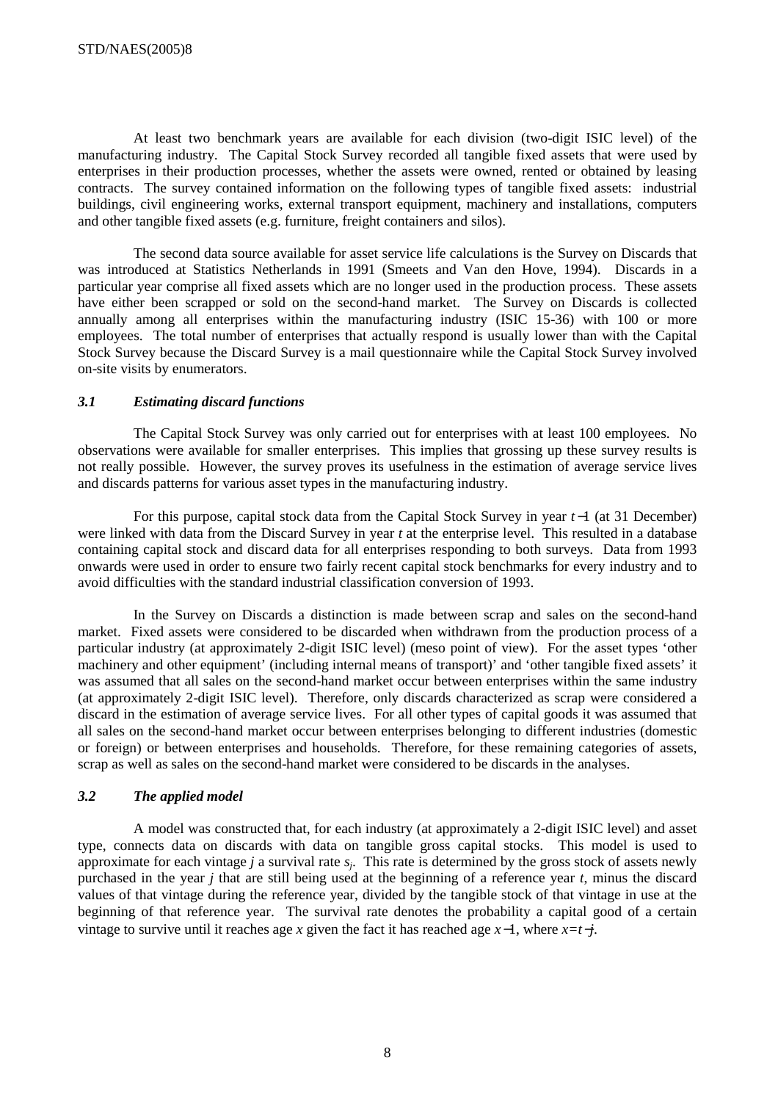At least two benchmark years are available for each division (two-digit ISIC level) of the manufacturing industry. The Capital Stock Survey recorded all tangible fixed assets that were used by enterprises in their production processes, whether the assets were owned, rented or obtained by leasing contracts. The survey contained information on the following types of tangible fixed assets: industrial buildings, civil engineering works, external transport equipment, machinery and installations, computers and other tangible fixed assets (e.g. furniture, freight containers and silos).

The second data source available for asset service life calculations is the Survey on Discards that was introduced at Statistics Netherlands in 1991 (Smeets and Van den Hove, 1994). Discards in a particular year comprise all fixed assets which are no longer used in the production process. These assets have either been scrapped or sold on the second-hand market. The Survey on Discards is collected annually among all enterprises within the manufacturing industry (ISIC 15-36) with 100 or more employees. The total number of enterprises that actually respond is usually lower than with the Capital Stock Survey because the Discard Survey is a mail questionnaire while the Capital Stock Survey involved on-site visits by enumerators.

# *3.1 Estimating discard functions*

The Capital Stock Survey was only carried out for enterprises with at least 100 employees. No observations were available for smaller enterprises. This implies that grossing up these survey results is not really possible. However, the survey proves its usefulness in the estimation of average service lives and discards patterns for various asset types in the manufacturing industry.

For this purpose, capital stock data from the Capital Stock Survey in year *t*−1 (at 31 December) were linked with data from the Discard Survey in year *t* at the enterprise level. This resulted in a database containing capital stock and discard data for all enterprises responding to both surveys. Data from 1993 onwards were used in order to ensure two fairly recent capital stock benchmarks for every industry and to avoid difficulties with the standard industrial classification conversion of 1993.

In the Survey on Discards a distinction is made between scrap and sales on the second-hand market. Fixed assets were considered to be discarded when withdrawn from the production process of a particular industry (at approximately 2-digit ISIC level) (meso point of view). For the asset types 'other machinery and other equipment' (including internal means of transport)' and 'other tangible fixed assets' it was assumed that all sales on the second-hand market occur between enterprises within the same industry (at approximately 2-digit ISIC level). Therefore, only discards characterized as scrap were considered a discard in the estimation of average service lives. For all other types of capital goods it was assumed that all sales on the second-hand market occur between enterprises belonging to different industries (domestic or foreign) or between enterprises and households. Therefore, for these remaining categories of assets, scrap as well as sales on the second-hand market were considered to be discards in the analyses.

# *3.2 The applied model*

A model was constructed that, for each industry (at approximately a 2-digit ISIC level) and asset type, connects data on discards with data on tangible gross capital stocks. This model is used to approximate for each vintage *j* a survival rate *sj*. This rate is determined by the gross stock of assets newly purchased in the year *j* that are still being used at the beginning of a reference year *t*, minus the discard values of that vintage during the reference year, divided by the tangible stock of that vintage in use at the beginning of that reference year. The survival rate denotes the probability a capital good of a certain vintage to survive until it reaches age *x* given the fact it has reached age *x*−1, where *x=t*−*j*.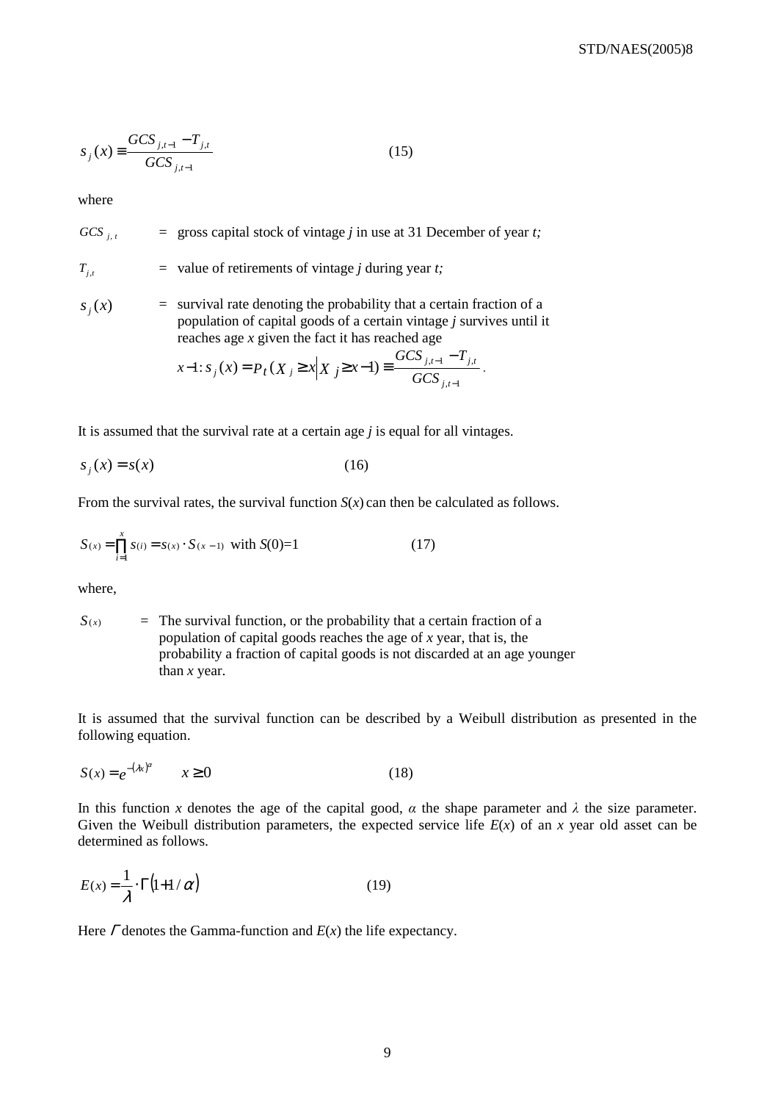$$
S_j(x) \equiv \frac{GCS_{j,t-1} - T_{j,t}}{GCS_{j,t-1}}
$$
 (15)

where

*GCS*  $\frac{1}{1+t}$  = gross capital stock of vintage *j* in use at 31 December of year *t*;

 $T_{i,t}$  = value of retirements of vintage *j* during year *t*;

 $s_i(x)$  = survival rate denoting the probability that a certain fraction of a population of capital goods of a certain vintage *j* survives until it reaches age *x* given the fact it has reached age

$$
x-1: s_j(x) = P_t(X_j \ge x | X_j \ge x-1) \equiv \frac{GCS_{j,t-1} - T_{j,t}}{GCS_{j,t-1}}.
$$

It is assumed that the survival rate at a certain age *j* is equal for all vintages.

$$
s_j(x) = s(x) \tag{16}
$$

From the survival rates, the survival function  $S(x)$  can then be calculated as follows.

$$
S(x) = \prod_{i=1}^{x} s(i) = s(x) \cdot S(x-1) \text{ with } S(0)=1
$$
 (17)

where,

 $S(x)$  = The survival function, or the probability that a certain fraction of a population of capital goods reaches the age of *x* year, that is, the probability a fraction of capital goods is not discarded at an age younger than *x* year.

It is assumed that the survival function can be described by a Weibull distribution as presented in the following equation.

$$
S(x) = e^{-(\lambda x)^{\alpha}} \qquad x \ge 0 \tag{18}
$$

In this function *x* denotes the age of the capital good,  $\alpha$  the shape parameter and  $\lambda$  the size parameter. Given the Weibull distribution parameters, the expected service life  $E(x)$  of an x year old asset can be determined as follows.

$$
E(x) = \frac{1}{\lambda} \cdot \Gamma(1 + 1/\alpha)
$$
 (19)

Here Γ denotes the Gamma-function and *E*(*x*) the life expectancy.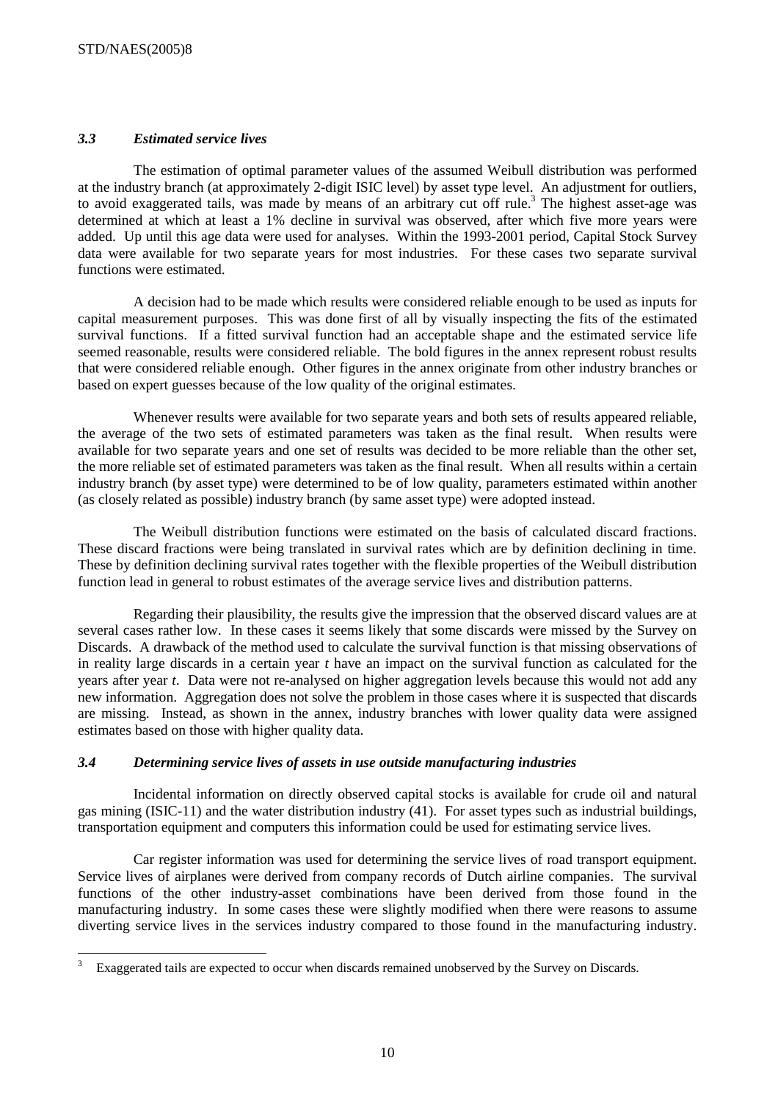$\overline{a}$ 

# *3.3 Estimated service lives*

The estimation of optimal parameter values of the assumed Weibull distribution was performed at the industry branch (at approximately 2-digit ISIC level) by asset type level. An adjustment for outliers, to avoid exaggerated tails, was made by means of an arbitrary cut off rule.<sup>3</sup> The highest asset-age was determined at which at least a 1% decline in survival was observed, after which five more years were added. Up until this age data were used for analyses. Within the 1993-2001 period, Capital Stock Survey data were available for two separate years for most industries. For these cases two separate survival functions were estimated.

A decision had to be made which results were considered reliable enough to be used as inputs for capital measurement purposes. This was done first of all by visually inspecting the fits of the estimated survival functions. If a fitted survival function had an acceptable shape and the estimated service life seemed reasonable, results were considered reliable. The bold figures in the annex represent robust results that were considered reliable enough. Other figures in the annex originate from other industry branches or based on expert guesses because of the low quality of the original estimates.

Whenever results were available for two separate years and both sets of results appeared reliable, the average of the two sets of estimated parameters was taken as the final result. When results were available for two separate years and one set of results was decided to be more reliable than the other set, the more reliable set of estimated parameters was taken as the final result. When all results within a certain industry branch (by asset type) were determined to be of low quality, parameters estimated within another (as closely related as possible) industry branch (by same asset type) were adopted instead.

The Weibull distribution functions were estimated on the basis of calculated discard fractions. These discard fractions were being translated in survival rates which are by definition declining in time. These by definition declining survival rates together with the flexible properties of the Weibull distribution function lead in general to robust estimates of the average service lives and distribution patterns.

Regarding their plausibility, the results give the impression that the observed discard values are at several cases rather low. In these cases it seems likely that some discards were missed by the Survey on Discards. A drawback of the method used to calculate the survival function is that missing observations of in reality large discards in a certain year *t* have an impact on the survival function as calculated for the years after year *t*. Data were not re-analysed on higher aggregation levels because this would not add any new information. Aggregation does not solve the problem in those cases where it is suspected that discards are missing. Instead, as shown in the annex, industry branches with lower quality data were assigned estimates based on those with higher quality data.

# *3.4 Determining service lives of assets in use outside manufacturing industries*

Incidental information on directly observed capital stocks is available for crude oil and natural gas mining (ISIC-11) and the water distribution industry (41). For asset types such as industrial buildings, transportation equipment and computers this information could be used for estimating service lives.

Car register information was used for determining the service lives of road transport equipment. Service lives of airplanes were derived from company records of Dutch airline companies. The survival functions of the other industry-asset combinations have been derived from those found in the manufacturing industry. In some cases these were slightly modified when there were reasons to assume diverting service lives in the services industry compared to those found in the manufacturing industry.

<sup>3</sup> Exaggerated tails are expected to occur when discards remained unobserved by the Survey on Discards.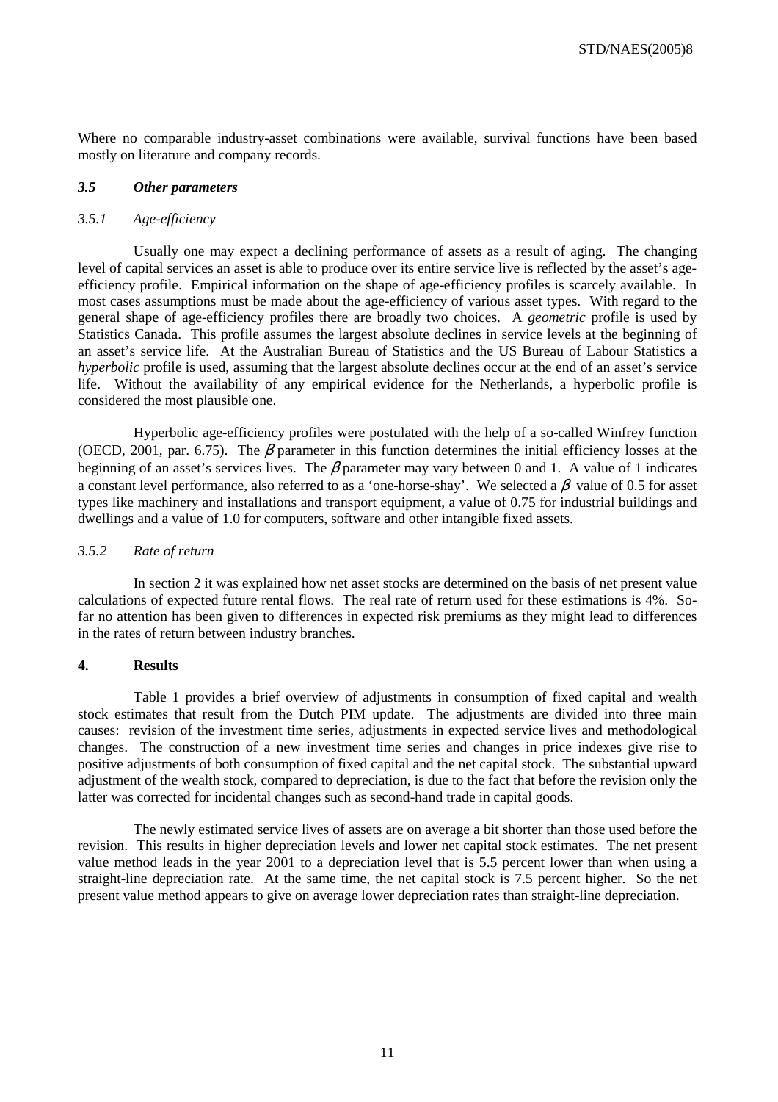Where no comparable industry-asset combinations were available, survival functions have been based mostly on literature and company records.

#### *3.5 Other parameters*

#### *3.5.1 Age-efficiency*

Usually one may expect a declining performance of assets as a result of aging. The changing level of capital services an asset is able to produce over its entire service live is reflected by the asset's ageefficiency profile. Empirical information on the shape of age-efficiency profiles is scarcely available. In most cases assumptions must be made about the age-efficiency of various asset types. With regard to the general shape of age-efficiency profiles there are broadly two choices. A *geometric* profile is used by Statistics Canada. This profile assumes the largest absolute declines in service levels at the beginning of an asset's service life. At the Australian Bureau of Statistics and the US Bureau of Labour Statistics a *hyperbolic* profile is used, assuming that the largest absolute declines occur at the end of an asset's service life. Without the availability of any empirical evidence for the Netherlands, a hyperbolic profile is considered the most plausible one.

Hyperbolic age-efficiency profiles were postulated with the help of a so-called Winfrey function (OECD, 2001, par. 6.75). The  $\beta$  parameter in this function determines the initial efficiency losses at the beginning of an asset's services lives. The  $\beta$  parameter may vary between 0 and 1. A value of 1 indicates a constant level performance, also referred to as a 'one-horse-shay'. We selected a  $\beta$  value of 0.5 for asset types like machinery and installations and transport equipment, a value of 0.75 for industrial buildings and dwellings and a value of 1.0 for computers, software and other intangible fixed assets.

#### *3.5.2 Rate of return*

In section 2 it was explained how net asset stocks are determined on the basis of net present value calculations of expected future rental flows. The real rate of return used for these estimations is 4%. Sofar no attention has been given to differences in expected risk premiums as they might lead to differences in the rates of return between industry branches.

#### **4. Results**

Table 1 provides a brief overview of adjustments in consumption of fixed capital and wealth stock estimates that result from the Dutch PIM update. The adjustments are divided into three main causes: revision of the investment time series, adjustments in expected service lives and methodological changes. The construction of a new investment time series and changes in price indexes give rise to positive adjustments of both consumption of fixed capital and the net capital stock. The substantial upward adjustment of the wealth stock, compared to depreciation, is due to the fact that before the revision only the latter was corrected for incidental changes such as second-hand trade in capital goods.

The newly estimated service lives of assets are on average a bit shorter than those used before the revision. This results in higher depreciation levels and lower net capital stock estimates. The net present value method leads in the year 2001 to a depreciation level that is 5.5 percent lower than when using a straight-line depreciation rate. At the same time, the net capital stock is 7.5 percent higher. So the net present value method appears to give on average lower depreciation rates than straight-line depreciation.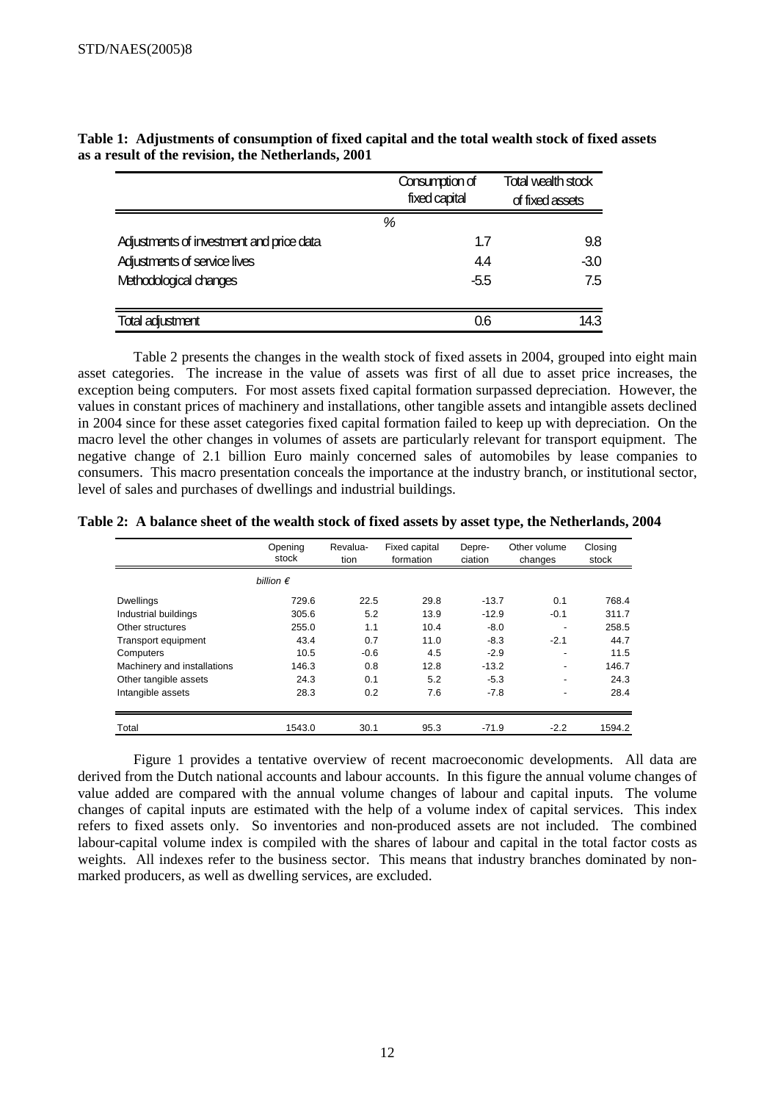|                                          | Consumption of<br>fixed capital | <b>Total wealth stock</b><br>of fixed assets |
|------------------------------------------|---------------------------------|----------------------------------------------|
|                                          | %                               |                                              |
| Adjustments of investment and price data | 1.7                             | 9.8                                          |
| Adjustments of service lives             | 4.4                             | $-3.0$                                       |
| Methodological changes                   | $-5.5$                          | 7.5                                          |
|                                          |                                 |                                              |
| <b>Total adjustment</b>                  | 0.6                             | 14.3                                         |

**Table 1: Adjustments of consumption of fixed capital and the total wealth stock of fixed assets as a result of the revision, the Netherlands, 2001** 

Table 2 presents the changes in the wealth stock of fixed assets in 2004, grouped into eight main asset categories. The increase in the value of assets was first of all due to asset price increases, the exception being computers. For most assets fixed capital formation surpassed depreciation. However, the values in constant prices of machinery and installations, other tangible assets and intangible assets declined in 2004 since for these asset categories fixed capital formation failed to keep up with depreciation. On the macro level the other changes in volumes of assets are particularly relevant for transport equipment. The negative change of 2.1 billion Euro mainly concerned sales of automobiles by lease companies to consumers. This macro presentation conceals the importance at the industry branch, or institutional sector, level of sales and purchases of dwellings and industrial buildings.

**Table 2: A balance sheet of the wealth stock of fixed assets by asset type, the Netherlands, 2004** 

|                             | Opening<br>stock   | Revalua-<br>tion | Fixed capital<br>formation | Depre-<br>ciation | Other volume<br>changes  | Closing<br>stock |
|-----------------------------|--------------------|------------------|----------------------------|-------------------|--------------------------|------------------|
|                             | billion $\epsilon$ |                  |                            |                   |                          |                  |
| <b>Dwellings</b>            | 729.6              | 22.5             | 29.8                       | $-13.7$           | 0.1                      | 768.4            |
| Industrial buildings        | 305.6              | 5.2              | 13.9                       | $-12.9$           | $-0.1$                   | 311.7            |
| Other structures            | 255.0              | 1.1              | 10.4                       | $-8.0$            |                          | 258.5            |
| Transport equipment         | 43.4               | 0.7              | 11.0                       | $-8.3$            | $-2.1$                   | 44.7             |
| Computers                   | 10.5               | $-0.6$           | 4.5                        | $-2.9$            | $\overline{\phantom{0}}$ | 11.5             |
| Machinery and installations | 146.3              | 0.8              | 12.8                       | $-13.2$           |                          | 146.7            |
| Other tangible assets       | 24.3               | 0.1              | 5.2                        | $-5.3$            | -                        | 24.3             |
| Intangible assets           | 28.3               | 0.2              | 7.6                        | $-7.8$            |                          | 28.4             |
| Total                       | 1543.0             | 30.1             | 95.3                       | $-71.9$           | $-2.2$                   | 1594.2           |

Figure 1 provides a tentative overview of recent macroeconomic developments. All data are derived from the Dutch national accounts and labour accounts. In this figure the annual volume changes of value added are compared with the annual volume changes of labour and capital inputs. The volume changes of capital inputs are estimated with the help of a volume index of capital services. This index refers to fixed assets only. So inventories and non-produced assets are not included. The combined labour-capital volume index is compiled with the shares of labour and capital in the total factor costs as weights. All indexes refer to the business sector. This means that industry branches dominated by nonmarked producers, as well as dwelling services, are excluded.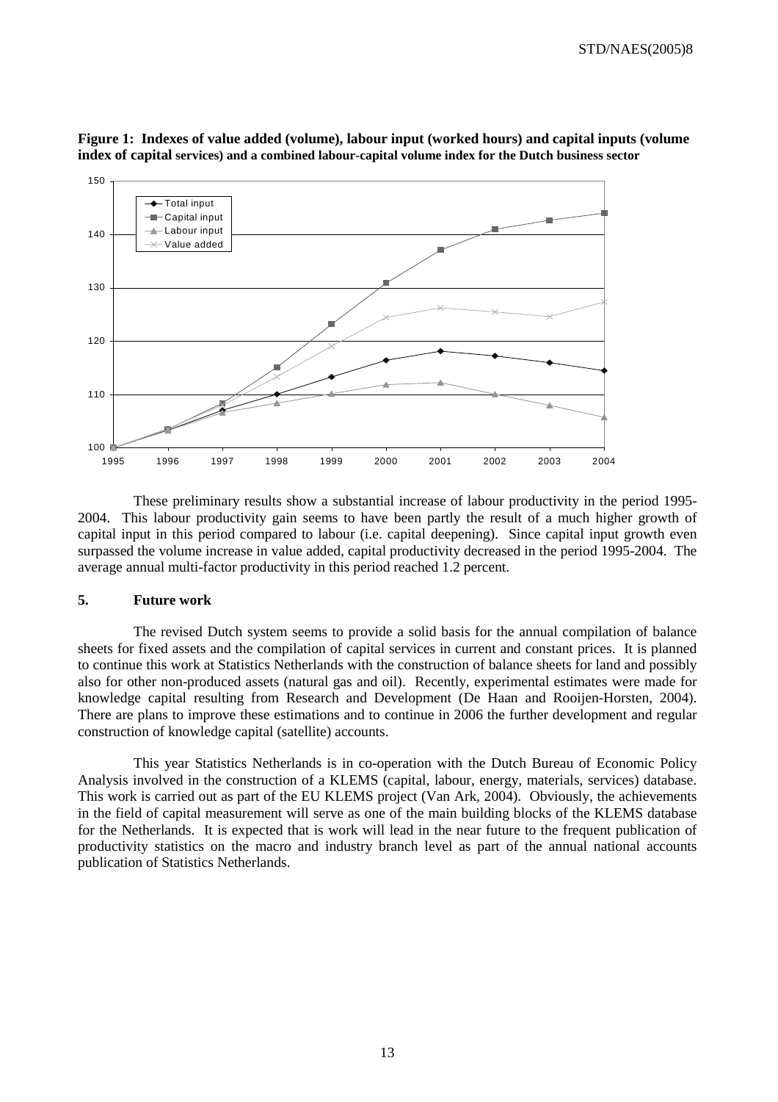STD/NAES(2005)8



**Figure 1: Indexes of value added (volume), labour input (worked hours) and capital inputs (volume index of capital services) and a combined labour-capital volume index for the Dutch business sector** 

These preliminary results show a substantial increase of labour productivity in the period 1995- 2004. This labour productivity gain seems to have been partly the result of a much higher growth of capital input in this period compared to labour (i.e. capital deepening). Since capital input growth even surpassed the volume increase in value added, capital productivity decreased in the period 1995-2004. The average annual multi-factor productivity in this period reached 1.2 percent.

# **5. Future work**

The revised Dutch system seems to provide a solid basis for the annual compilation of balance sheets for fixed assets and the compilation of capital services in current and constant prices. It is planned to continue this work at Statistics Netherlands with the construction of balance sheets for land and possibly also for other non-produced assets (natural gas and oil). Recently, experimental estimates were made for knowledge capital resulting from Research and Development (De Haan and Rooijen-Horsten, 2004). There are plans to improve these estimations and to continue in 2006 the further development and regular construction of knowledge capital (satellite) accounts.

This year Statistics Netherlands is in co-operation with the Dutch Bureau of Economic Policy Analysis involved in the construction of a KLEMS (capital, labour, energy, materials, services) database. This work is carried out as part of the EU KLEMS project (Van Ark, 2004). Obviously, the achievements in the field of capital measurement will serve as one of the main building blocks of the KLEMS database for the Netherlands. It is expected that is work will lead in the near future to the frequent publication of productivity statistics on the macro and industry branch level as part of the annual national accounts publication of Statistics Netherlands.

13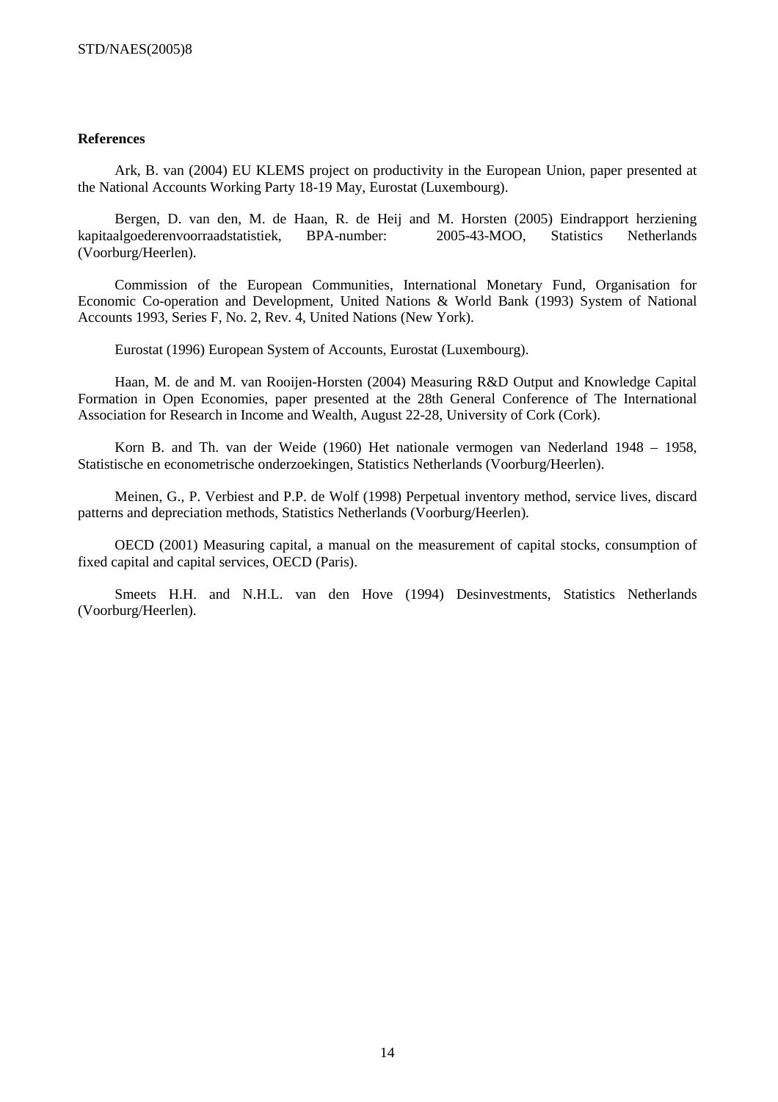#### **References**

Ark, B. van (2004) EU KLEMS project on productivity in the European Union, paper presented at the National Accounts Working Party 18-19 May, Eurostat (Luxembourg).

Bergen, D. van den, M. de Haan, R. de Heij and M. Horsten (2005) Eindrapport herziening kapitaalgoederenvoorraadstatistiek, BPA-number: 2005-43-MOO, Statistics Netherlands (Voorburg/Heerlen).

Commission of the European Communities, International Monetary Fund, Organisation for Economic Co-operation and Development, United Nations & World Bank (1993) System of National Accounts 1993, Series F, No. 2, Rev. 4, United Nations (New York).

Eurostat (1996) European System of Accounts, Eurostat (Luxembourg).

Haan, M. de and M. van Rooijen-Horsten (2004) Measuring R&D Output and Knowledge Capital Formation in Open Economies, paper presented at the 28th General Conference of The International Association for Research in Income and Wealth, August 22-28, University of Cork (Cork).

Korn B. and Th. van der Weide (1960) Het nationale vermogen van Nederland 1948 – 1958, Statistische en econometrische onderzoekingen, Statistics Netherlands (Voorburg/Heerlen).

Meinen, G., P. Verbiest and P.P. de Wolf (1998) Perpetual inventory method, service lives, discard patterns and depreciation methods, Statistics Netherlands (Voorburg/Heerlen).

OECD (2001) Measuring capital, a manual on the measurement of capital stocks, consumption of fixed capital and capital services, OECD (Paris).

Smeets H.H. and N.H.L. van den Hove (1994) Desinvestments, Statistics Netherlands (Voorburg/Heerlen).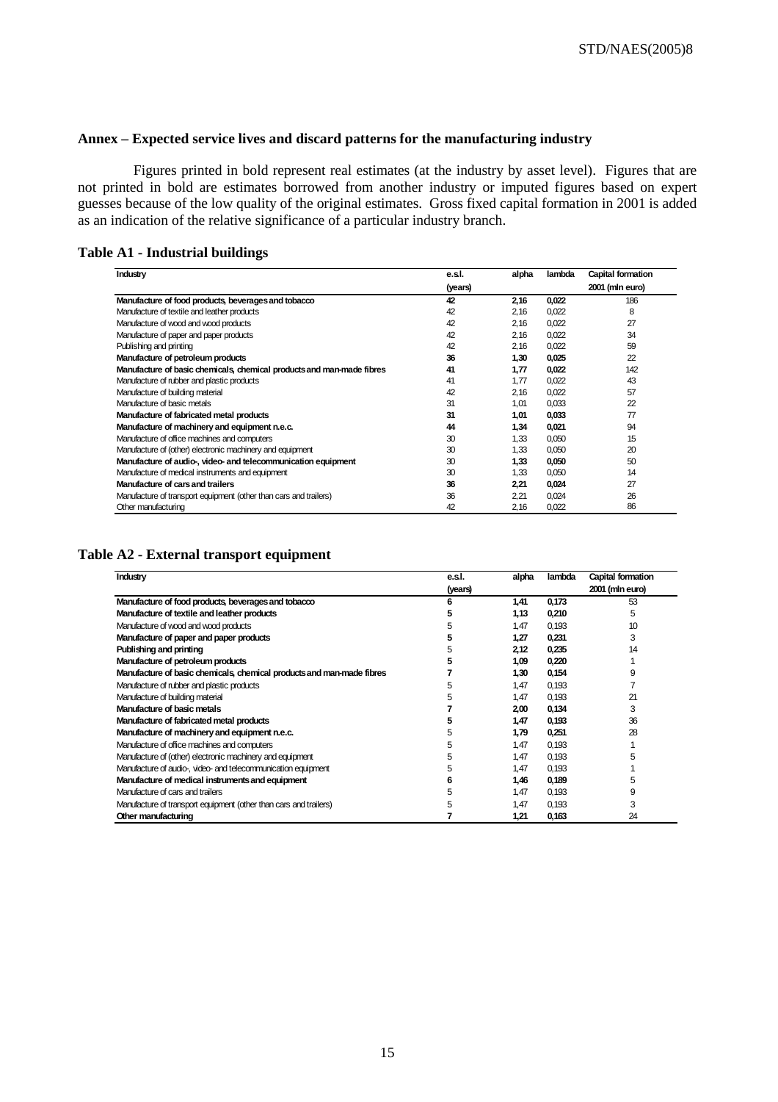# **Annex – Expected service lives and discard patterns for the manufacturing industry**

Figures printed in bold represent real estimates (at the industry by asset level). Figures that are not printed in bold are estimates borrowed from another industry or imputed figures based on expert guesses because of the low quality of the original estimates. Gross fixed capital formation in 2001 is added as an indication of the relative significance of a particular industry branch.

# **Table A1 - Industrial buildings**

| Industry                                                              | e.s.l.  | alpha | lambda | Capital formation |
|-----------------------------------------------------------------------|---------|-------|--------|-------------------|
|                                                                       | (years) |       |        | 2001 (mln euro)   |
| Manufacture of food products, beverages and tobacco                   | 42      | 2,16  | 0,022  | 186               |
| Manufacture of textile and leather products                           | 42      | 2.16  | 0,022  | 8                 |
| Manufacture of wood and wood products                                 | 42      | 2,16  | 0,022  | 27                |
| Manufacture of paper and paper products                               | 42      | 2,16  | 0,022  | 34                |
| Publishing and printing                                               | 42      | 2.16  | 0,022  | 59                |
| Manufacture of petroleum products                                     | 36      | 1,30  | 0,025  | 22                |
| Manufacture of basic chemicals, chemical products and man-made fibres | 41      | 1,77  | 0,022  | 142               |
| Manufacture of rubber and plastic products                            | 41      | 1.77  | 0,022  | 43                |
| Manufacture of building material                                      | 42      | 2,16  | 0,022  | 57                |
| Manufacture of basic metals                                           | 31      | 1.01  | 0.033  | 22                |
| Manufacture of fabricated metal products                              | 31      | 1,01  | 0,033  | 77                |
| Manufacture of machinery and equipment n.e.c.                         | 44      | 1,34  | 0,021  | 94                |
| Manufacture of office machines and computers                          | 30      | 1,33  | 0,050  | 15                |
| Manufacture of (other) electronic machinery and equipment             | 30      | 1,33  | 0,050  | 20                |
| Manufacture of audio-, video- and telecommunication equipment         | 30      | 1.33  | 0,050  | 50                |
| Manufacture of medical instruments and equipment                      | 30      | 1,33  | 0,050  | 14                |
| Manufacture of cars and trailers                                      | 36      | 2,21  | 0,024  | 27                |
| Manufacture of transport equipment (other than cars and trailers)     | 36      | 2,21  | 0,024  | 26                |
| Other manufacturing                                                   | 42      | 2,16  | 0,022  | 86                |

#### **Table A2 - External transport equipment**

| Industry                                                              | e.s.l.  | alpha | lambda | Capital formation |
|-----------------------------------------------------------------------|---------|-------|--------|-------------------|
|                                                                       | (years) |       |        | 2001 (min euro)   |
| Manufacture of food products, beverages and tobacco                   | 6       | 1,41  | 0,173  | 53                |
| Manufacture of textile and leather products                           | 5       | 1,13  | 0,210  | 5                 |
| Manufacture of wood and wood products                                 | 5       | 1,47  | 0,193  | 10                |
| Manufacture of paper and paper products                               | 5       | 1,27  | 0,231  | 3                 |
| Publishing and printing                                               | 5       | 2.12  | 0,235  | 14                |
| Manufacture of petroleum products                                     |         | 1,09  | 0,220  |                   |
| Manufacture of basic chemicals, chemical products and man-made fibres |         | 1,30  | 0,154  | 9                 |
| Manufacture of rubber and plastic products                            | 5       | 1,47  | 0,193  |                   |
| Manufacture of building material                                      | 5       | 1,47  | 0,193  | 21                |
| Manufacture of basic metals                                           |         | 2,00  | 0,134  | 3                 |
| Manufacture of fabricated metal products                              | 5       | 1,47  | 0,193  | 36                |
| Manufacture of machinery and equipment n.e.c.                         | 5       | 1,79  | 0,251  | 28                |
| Manufacture of office machines and computers                          | 5       | 1,47  | 0,193  |                   |
| Manufacture of (other) electronic machinery and equipment             | 5       | 1,47  | 0,193  | 5                 |
| Manufacture of audio-, video- and telecommunication equipment         | 5       | 1.47  | 0,193  |                   |
| Manufacture of medical instruments and equipment                      | 6       | 1,46  | 0,189  | 5                 |
| Manufacture of cars and trailers                                      | 5       | 1,47  | 0,193  | 9                 |
| Manufacture of transport equipment (other than cars and trailers)     | 5       | 1,47  | 0,193  | 3                 |
| Other manufacturing                                                   |         | 1,21  | 0,163  | 24                |